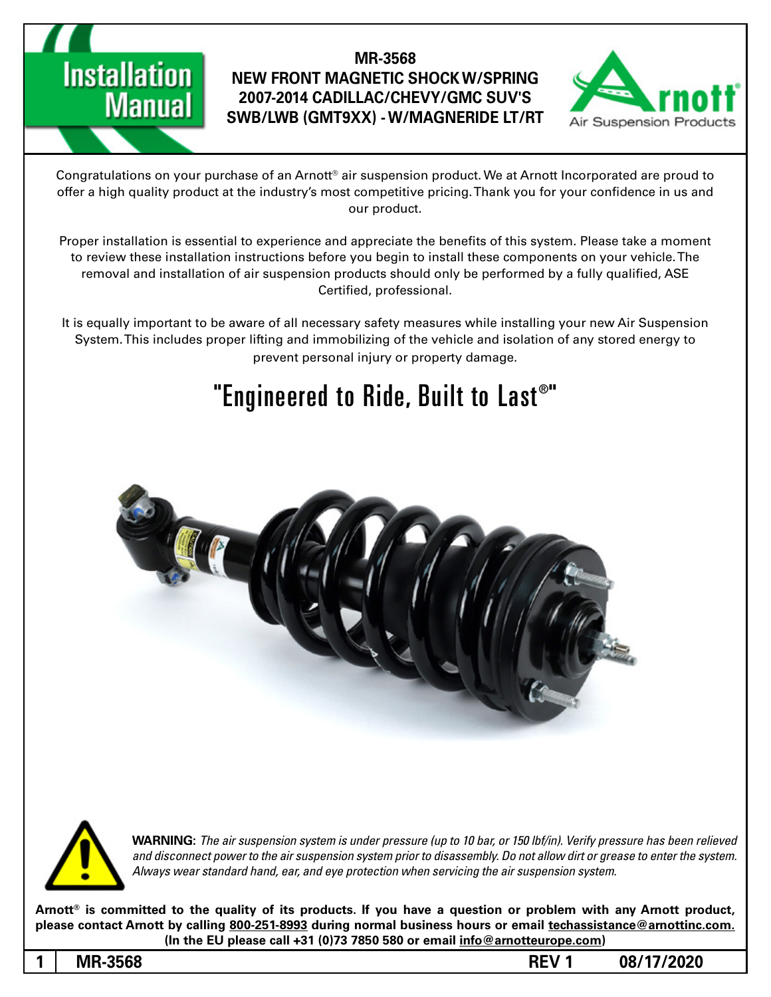

Congratulations on your purchase of an Arnott® air suspension product. We at Arnott Incorporated are proud to offer a high quality product at the industry's most competitive pricing. Thank you for your confidence in us and our product.

Proper installation is essential to experience and appreciate the benefits of this system. Please take a moment to review these installation instructions before you begin to install these components on your vehicle. The removal and installation of air suspension products should only be performed by a fully qualified, ASE Certified, professional.

It is equally important to be aware of all necessary safety measures while installing your new Air Suspension System. This includes proper lifting and immobilizing of the vehicle and isolation of any stored energy to prevent personal injury or property damage.

## "Engineered to Ride, Built to Last®"





*WARNING: The air suspension system is under pressure (up to 10 bar, or 150 lbf/in). Verify pressure has been relieved* and disconnect power to the air suspension system prior to disassembly. Do not allow dirt or grease to enter the system. Always wear standard hand, ear, and eye protection when servicing the air suspension system.

Arnott<sup>®</sup> is committed to the quality of its products. If you have a question or problem with any Arnott product, please contact Arnott by calling 800-251-8993 during normal business hours or email techassistance@arnottinc.com. (In the EU please call +31 (0)73 7850 580 or email info@arnotteurope.com)

**Installation** 

**Manual**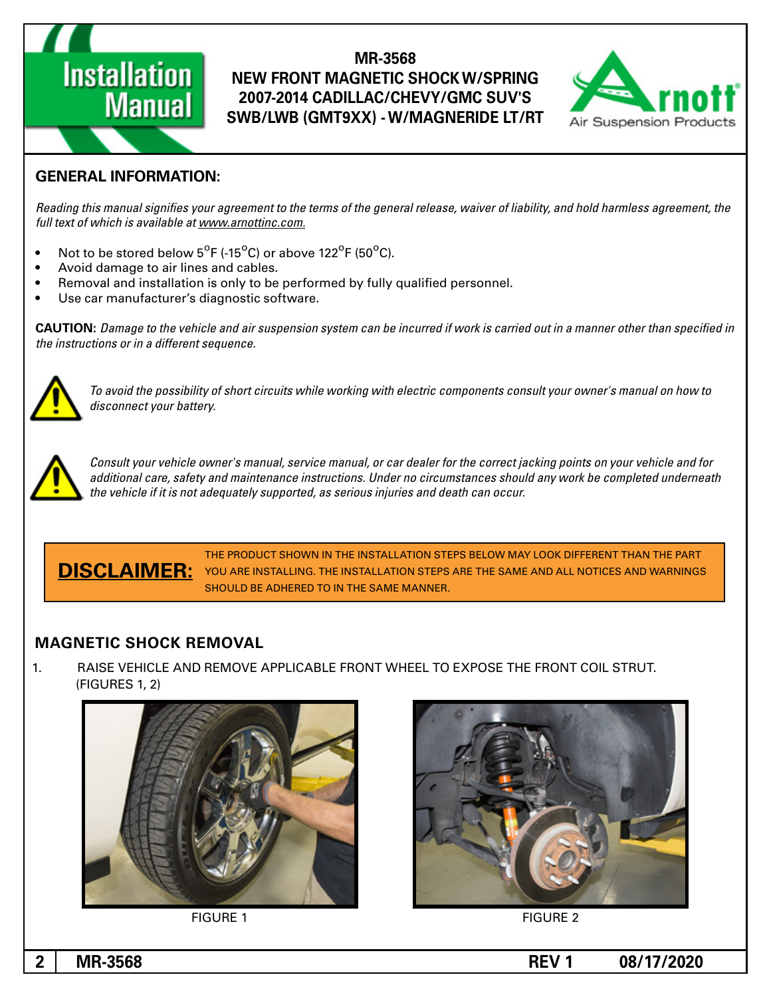

### **GENERAL INFORMATION:**

**Installation** 

**Manual** 

Reading this manual signifies your agreement to the terms of the general release, waiver of liability, and hold harmless agreement, the full text of which is available at www.arnottinc.com.

- $\bullet$  Not to be stored below 5<sup>o</sup>F (-15<sup>o</sup>C) or above 122<sup>o</sup>F (50<sup>o</sup>C).
- Avoid damage to air lines and cables.
- Removal and installation is only to be performed by fully qualified personnel.
- Use car manufacturer's diagnostic software.

 *in specified than other manner a in out carried is work if incurred be can system suspension air and vehicle the to Damage* **:CAUTION** *the instructions or in a different sequence.* 



 *to how on manual s'owner your consult components electric with working while circuits short of possibility the avoid To .battery your disconnect*



Consult your vehicle owner's manual, service manual, or car dealer for the correct jacking points on your vehicle and for additional care, safety and maintenance instructions. Under no circumstances should any work be completed underneath the vehicle if it is not adequately supported, as serious injuries and death can occur.

THE PRODUCT SHOWN IN THE INSTALLATION STEPS BELOW MAY LOOK DIFFERENT THAN THE PART **DISCLAIMER:** YOU ARE INSTALLING. THE INSTALLATION STEPS ARE THE SAME AND ALL NOTICES AND WARNINGS SHOULD BE ADHERED TO IN THE SAME MANNER.

### **MAGNETIC SHOCK REMOVAL**

1. BAISE VEHICLE AND REMOVE APPLICABLE FRONT WHEEL TO EXPOSE THE FRONT COIL STRUT.  $(FIGURES 1, 2)$ 





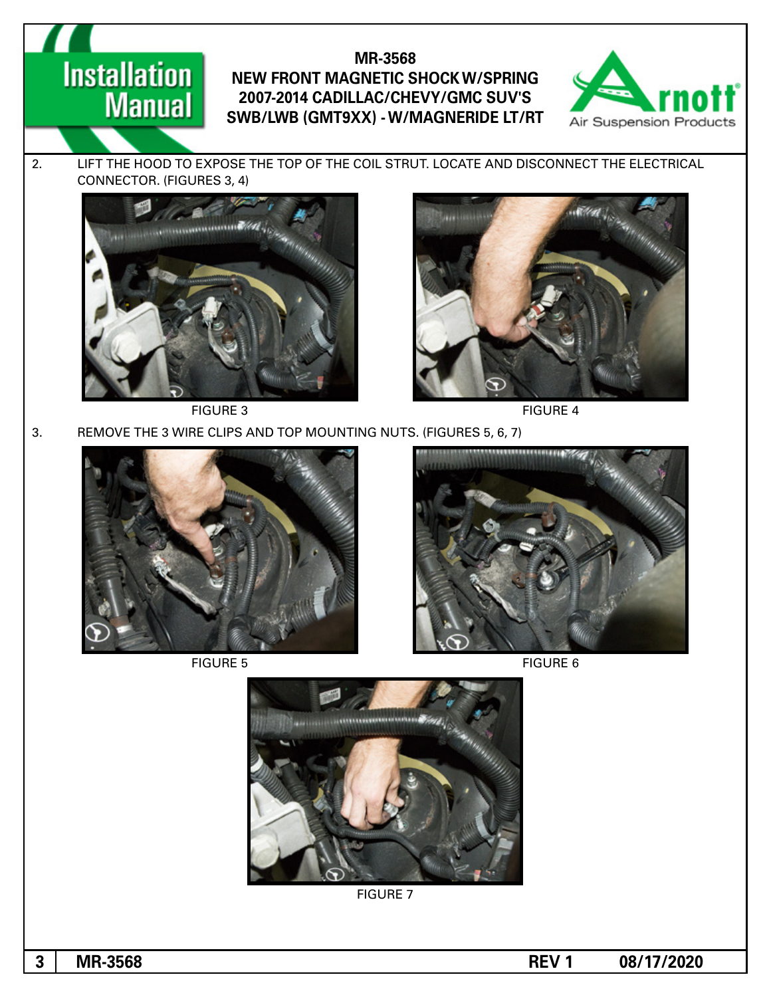

2. LIFT THE HOOD TO EXPOSE THE TOP OF THE COIL STRUT. LOCATE AND DISCONNECT THE ELECTRICAL CONNECTOR. (FIGURES 3, 4)



**Installation** 

**Manual** 





FIGURE 3 FIGURE 4

3. REMOVE THE 3 WIRE CLIPS AND TOP MOUNTING NUTS. (FIGURES 5, 6, 7)





FIGURE 5 FIGURE 5



**FIGURE 7**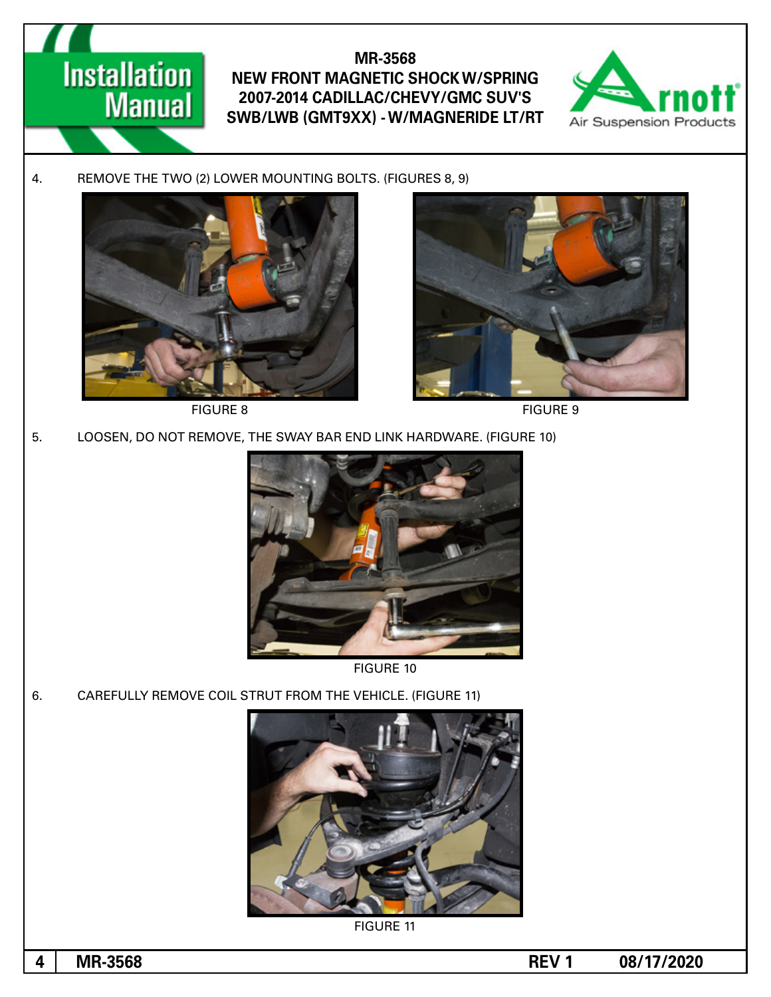

4. REMOVE THE TWO (2) LOWER MOUNTING BOLTS. (FIGURES 8, 9)



**Installation** 

**Manual** 

**FIGURE 8** FIGURE 9



5. LOOSEN, DO NOT REMOVE, THE SWAY BAR END LINK HARDWARE. (FIGURE 10)





6. CAREFULLY REMOVE COIL STRUT FROM THE VEHICLE. (FIGURE 11)



**FIGURE 11** 

**1** MR-3568 REV 1 08/17/2020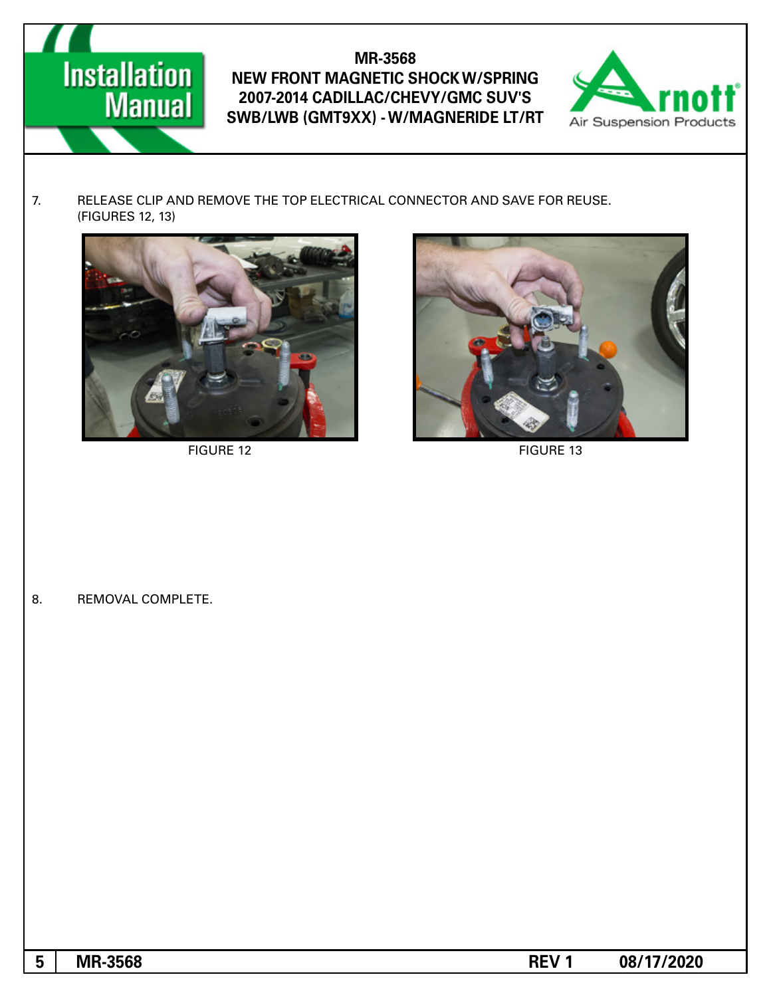# **Installation**<br>Manual

### **MR-3568 NEW FRONT MAGNETIC SHOCK W/SPRING** 2007-2014 CADILLAC/CHEVY/GMC SUV'S **SWB/LWB (GMT9XX) - W/MAGNERIDE LT/RT**



7. RELEASE CLIP AND REMOVE THE TOP ELECTRICAL CONNECTOR AND SAVE FOR REUSE. (FIGURES 12, 13)



FIGURE 12 FIGURE 13



8. REMOVAL COMPLETE.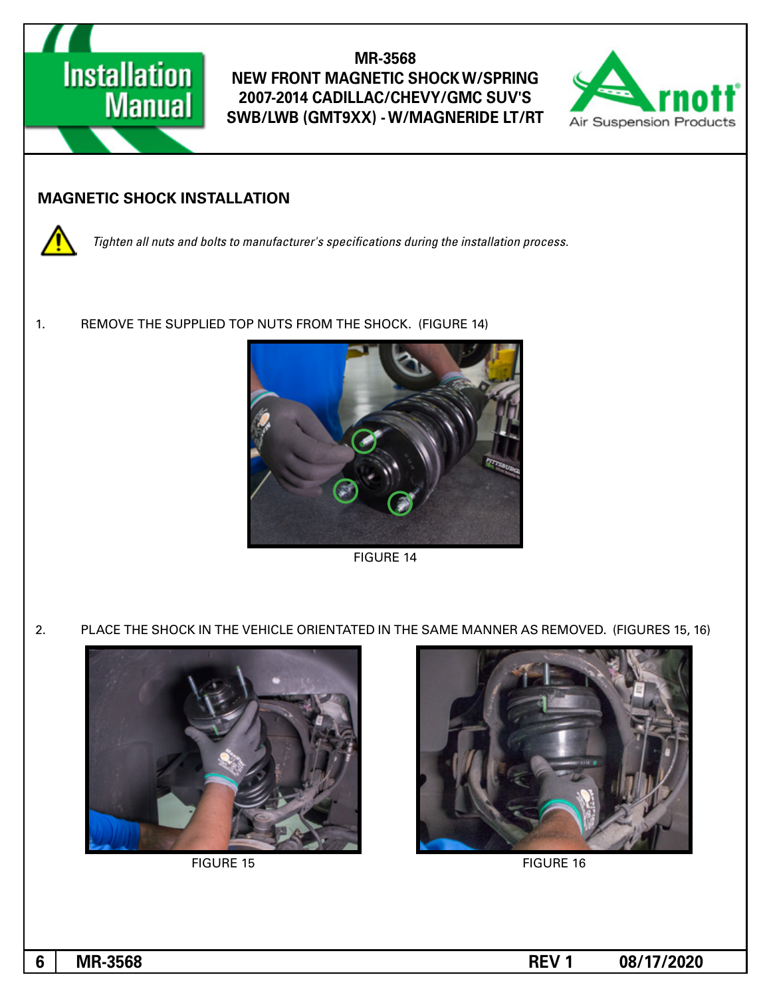

### **INAGNETIC SHOCK INSTALLATION**



1. REMOVE THE SUPPLIED TOP NUTS FROM THE SHOCK. (FIGURE 14)



**FIGURE 14** 

2. PLACE THE SHOCK IN THE VEHICLE ORIENTATED IN THE SAME MANNER AS REMOVED. (FIGURES 15, 16)



FIGURE 15 FIGURE 16

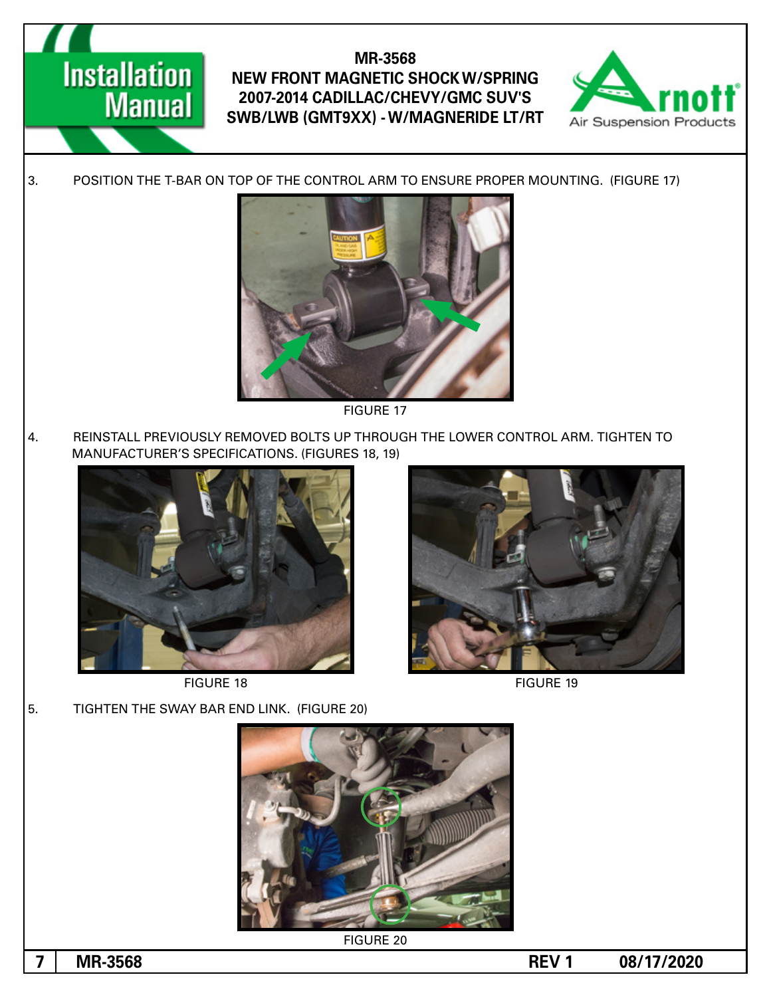

3. POSITION THE T-BAR ON TOP OF THE CONTROL ARM TO ENSURE PROPER MOUNTING. (FIGURE 17)



**FIGURE 17** 

4. REINSTALL PREVIOUSLY REMOVED BOLTS UP THROUGH THE LOWER CONTROL ARM. TIGHTEN TO MANUFACTURER'S SPECIFICATIONS. (FIGURES 18, 19)



**Installation** 

**Manual** 

FIGURE 18 FIGURE 19

5. TIGHTEN THE SWAY BAR END LINK. (FIGURE 20)



**FIGURE 20**